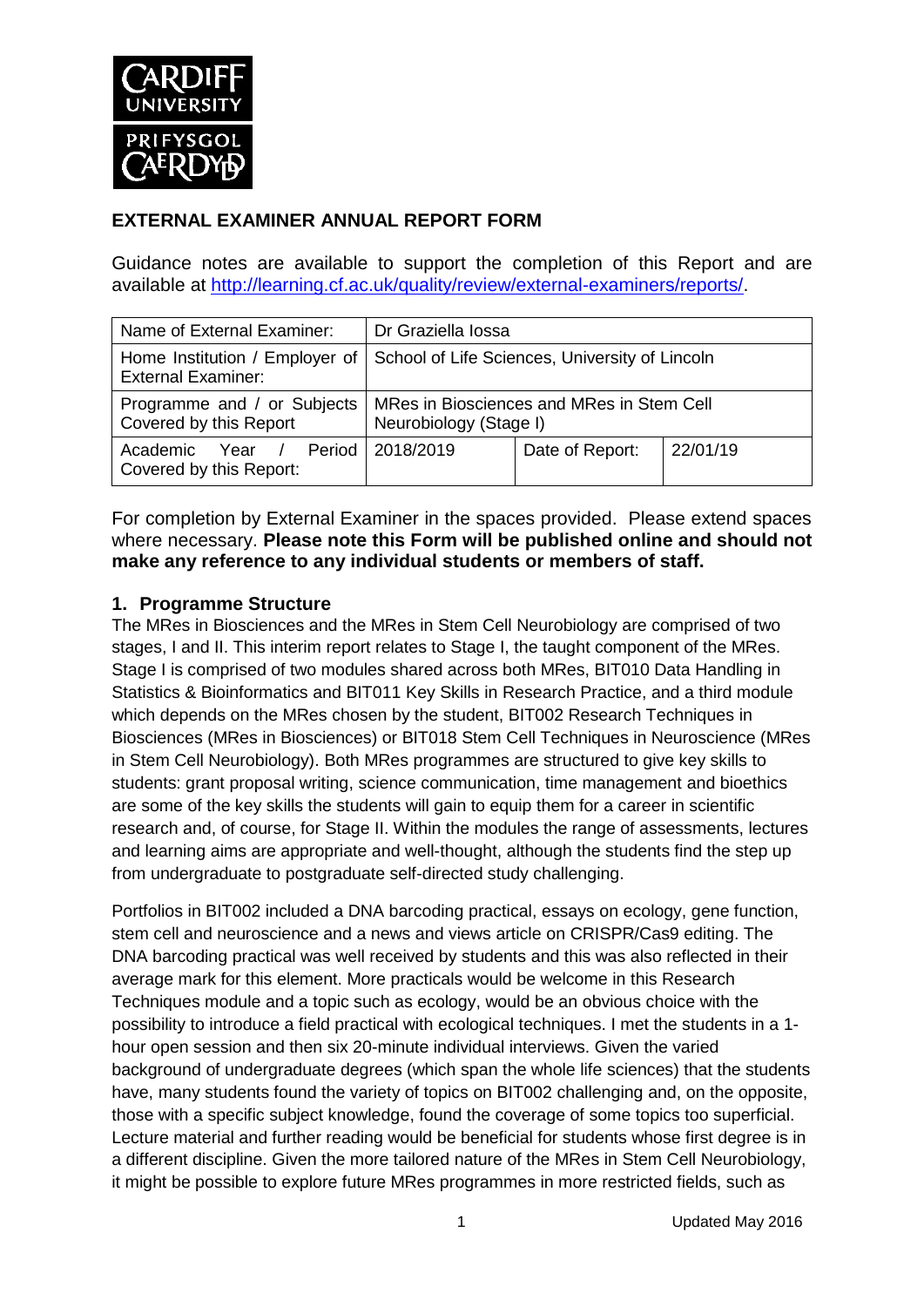

## **EXTERNAL EXAMINER ANNUAL REPORT FORM**

Guidance notes are available to support the completion of this Report and are available at [http://learning.cf.ac.uk/quality/review/external-examiners/reports/.](http://learning.cf.ac.uk/quality/review/external-examiners/reports/)

| Name of External Examiner:                                | Dr Graziella Iossa                                                                                |                 |          |  |
|-----------------------------------------------------------|---------------------------------------------------------------------------------------------------|-----------------|----------|--|
| <b>External Examiner:</b>                                 | Home Institution / Employer of   School of Life Sciences, University of Lincoln                   |                 |          |  |
| Covered by this Report                                    | Programme and / or Subjects   MRes in Biosciences and MRes in Stem Cell<br>Neurobiology (Stage I) |                 |          |  |
| / Period I<br>Academic<br>Year<br>Covered by this Report: | 2018/2019                                                                                         | Date of Report: | 22/01/19 |  |

For completion by External Examiner in the spaces provided. Please extend spaces where necessary. **Please note this Form will be published online and should not make any reference to any individual students or members of staff.**

#### **1. Programme Structure**

The MRes in Biosciences and the MRes in Stem Cell Neurobiology are comprised of two stages, I and II. This interim report relates to Stage I, the taught component of the MRes. Stage I is comprised of two modules shared across both MRes, BIT010 Data Handling in Statistics & Bioinformatics and BIT011 Key Skills in Research Practice, and a third module which depends on the MRes chosen by the student, BIT002 Research Techniques in Biosciences (MRes in Biosciences) or BIT018 Stem Cell Techniques in Neuroscience (MRes in Stem Cell Neurobiology). Both MRes programmes are structured to give key skills to students: grant proposal writing, science communication, time management and bioethics are some of the key skills the students will gain to equip them for a career in scientific research and, of course, for Stage II. Within the modules the range of assessments, lectures and learning aims are appropriate and well-thought, although the students find the step up from undergraduate to postgraduate self-directed study challenging.

Portfolios in BIT002 included a DNA barcoding practical, essays on ecology, gene function, stem cell and neuroscience and a news and views article on CRISPR/Cas9 editing. The DNA barcoding practical was well received by students and this was also reflected in their average mark for this element. More practicals would be welcome in this Research Techniques module and a topic such as ecology, would be an obvious choice with the possibility to introduce a field practical with ecological techniques. I met the students in a 1 hour open session and then six 20-minute individual interviews. Given the varied background of undergraduate degrees (which span the whole life sciences) that the students have, many students found the variety of topics on BIT002 challenging and, on the opposite, those with a specific subject knowledge, found the coverage of some topics too superficial. Lecture material and further reading would be beneficial for students whose first degree is in a different discipline. Given the more tailored nature of the MRes in Stem Cell Neurobiology, it might be possible to explore future MRes programmes in more restricted fields, such as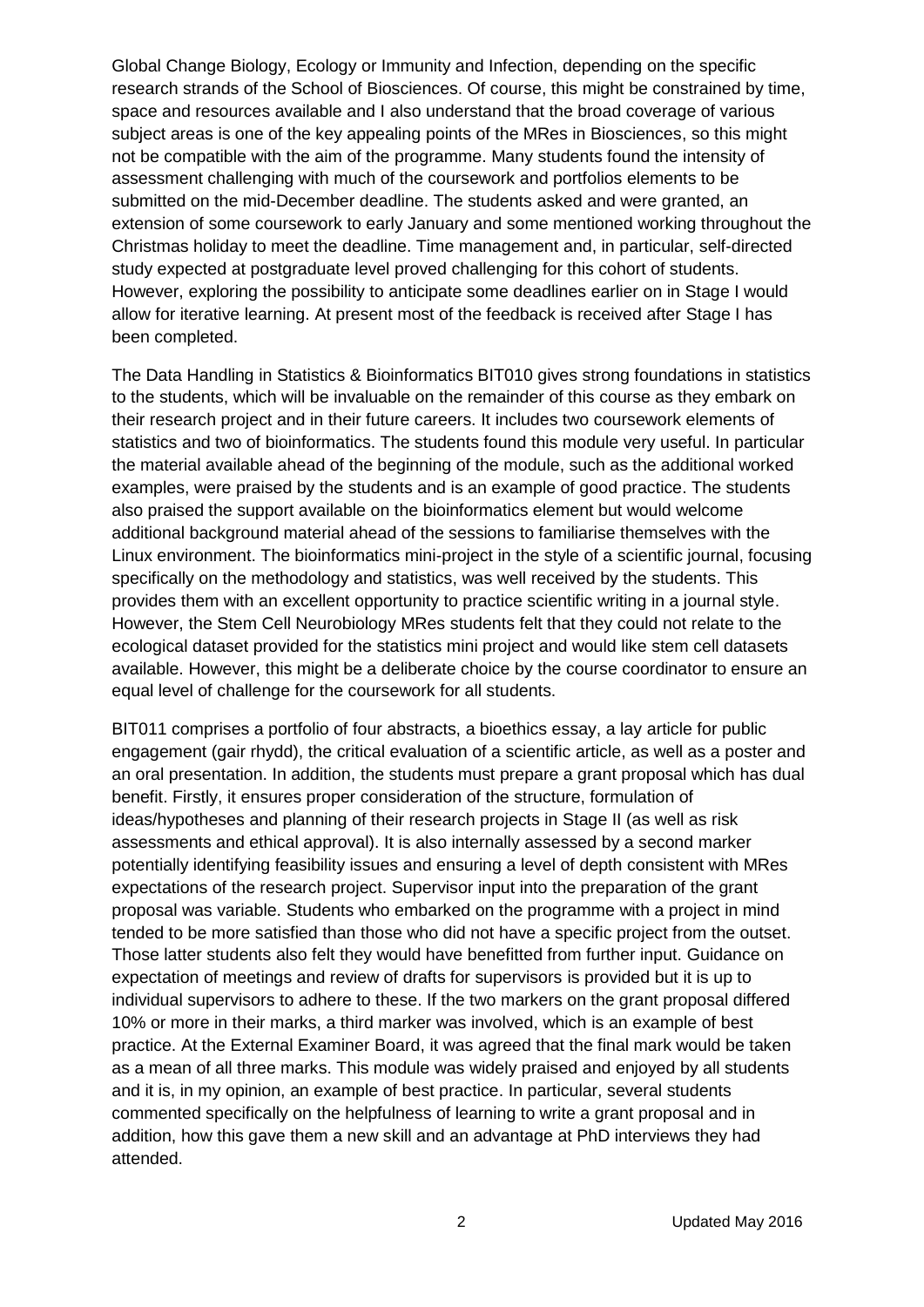Global Change Biology, Ecology or Immunity and Infection, depending on the specific research strands of the School of Biosciences. Of course, this might be constrained by time, space and resources available and I also understand that the broad coverage of various subject areas is one of the key appealing points of the MRes in Biosciences, so this might not be compatible with the aim of the programme. Many students found the intensity of assessment challenging with much of the coursework and portfolios elements to be submitted on the mid-December deadline. The students asked and were granted, an extension of some coursework to early January and some mentioned working throughout the Christmas holiday to meet the deadline. Time management and, in particular, self-directed study expected at postgraduate level proved challenging for this cohort of students. However, exploring the possibility to anticipate some deadlines earlier on in Stage I would allow for iterative learning. At present most of the feedback is received after Stage I has been completed.

The Data Handling in Statistics & Bioinformatics BIT010 gives strong foundations in statistics to the students, which will be invaluable on the remainder of this course as they embark on their research project and in their future careers. It includes two coursework elements of statistics and two of bioinformatics. The students found this module very useful. In particular the material available ahead of the beginning of the module, such as the additional worked examples, were praised by the students and is an example of good practice. The students also praised the support available on the bioinformatics element but would welcome additional background material ahead of the sessions to familiarise themselves with the Linux environment. The bioinformatics mini-project in the style of a scientific journal, focusing specifically on the methodology and statistics, was well received by the students. This provides them with an excellent opportunity to practice scientific writing in a journal style. However, the Stem Cell Neurobiology MRes students felt that they could not relate to the ecological dataset provided for the statistics mini project and would like stem cell datasets available. However, this might be a deliberate choice by the course coordinator to ensure an equal level of challenge for the coursework for all students.

BIT011 comprises a portfolio of four abstracts, a bioethics essay, a lay article for public engagement (gair rhydd), the critical evaluation of a scientific article, as well as a poster and an oral presentation. In addition, the students must prepare a grant proposal which has dual benefit. Firstly, it ensures proper consideration of the structure, formulation of ideas/hypotheses and planning of their research projects in Stage II (as well as risk assessments and ethical approval). It is also internally assessed by a second marker potentially identifying feasibility issues and ensuring a level of depth consistent with MRes expectations of the research project. Supervisor input into the preparation of the grant proposal was variable. Students who embarked on the programme with a project in mind tended to be more satisfied than those who did not have a specific project from the outset. Those latter students also felt they would have benefitted from further input. Guidance on expectation of meetings and review of drafts for supervisors is provided but it is up to individual supervisors to adhere to these. If the two markers on the grant proposal differed 10% or more in their marks, a third marker was involved, which is an example of best practice. At the External Examiner Board, it was agreed that the final mark would be taken as a mean of all three marks. This module was widely praised and enjoyed by all students and it is, in my opinion, an example of best practice. In particular, several students commented specifically on the helpfulness of learning to write a grant proposal and in addition, how this gave them a new skill and an advantage at PhD interviews they had attended.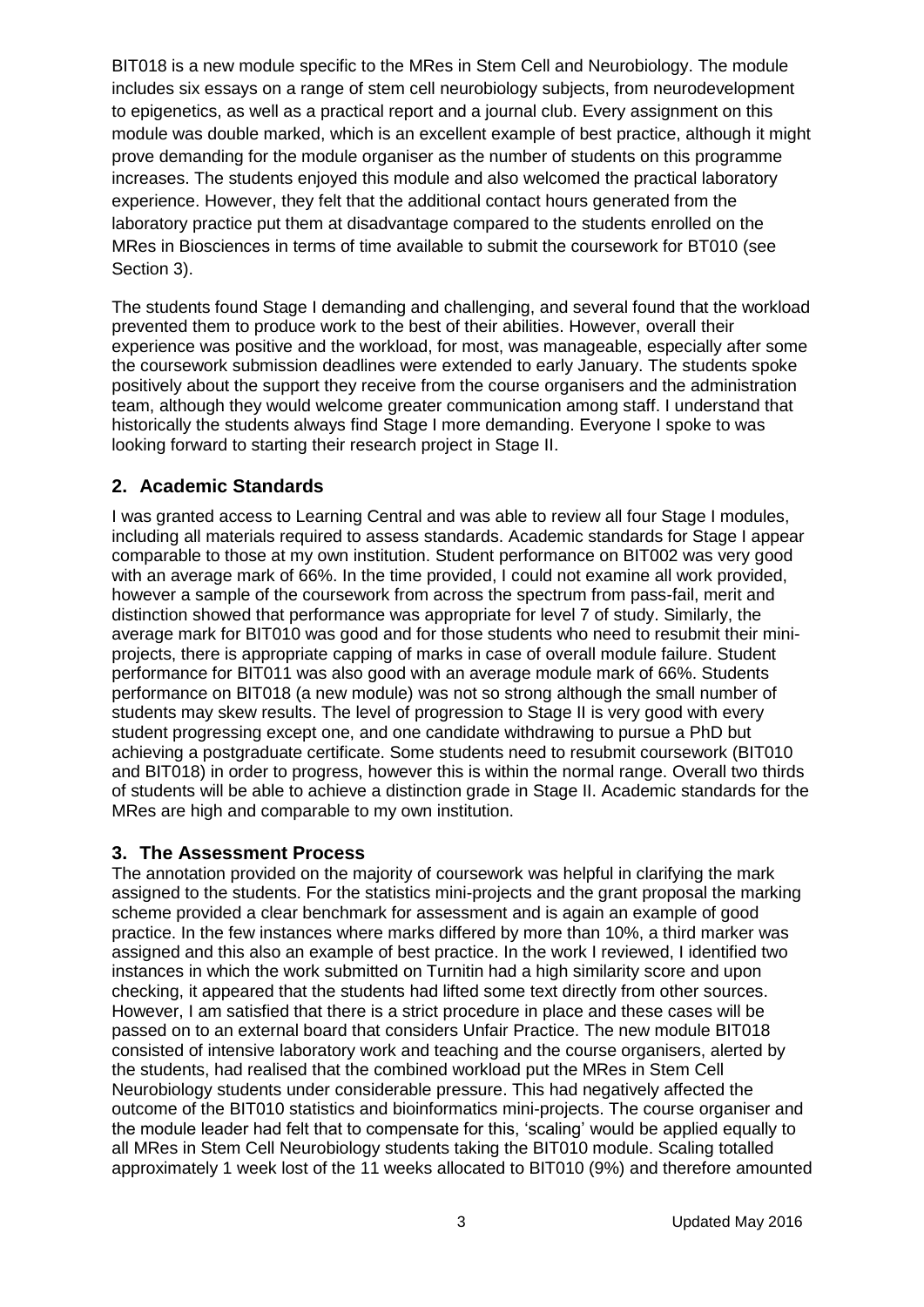BIT018 is a new module specific to the MRes in Stem Cell and Neurobiology. The module includes six essays on a range of stem cell neurobiology subjects, from neurodevelopment to epigenetics, as well as a practical report and a journal club. Every assignment on this module was double marked, which is an excellent example of best practice, although it might prove demanding for the module organiser as the number of students on this programme increases. The students enjoyed this module and also welcomed the practical laboratory experience. However, they felt that the additional contact hours generated from the laboratory practice put them at disadvantage compared to the students enrolled on the MRes in Biosciences in terms of time available to submit the coursework for BT010 (see Section 3).

The students found Stage I demanding and challenging, and several found that the workload prevented them to produce work to the best of their abilities. However, overall their experience was positive and the workload, for most, was manageable, especially after some the coursework submission deadlines were extended to early January. The students spoke positively about the support they receive from the course organisers and the administration team, although they would welcome greater communication among staff. I understand that historically the students always find Stage I more demanding. Everyone I spoke to was looking forward to starting their research project in Stage II.

#### **2. Academic Standards**

I was granted access to Learning Central and was able to review all four Stage I modules, including all materials required to assess standards. Academic standards for Stage I appear comparable to those at my own institution. Student performance on BIT002 was very good with an average mark of 66%. In the time provided, I could not examine all work provided, however a sample of the coursework from across the spectrum from pass-fail, merit and distinction showed that performance was appropriate for level 7 of study. Similarly, the average mark for BIT010 was good and for those students who need to resubmit their miniprojects, there is appropriate capping of marks in case of overall module failure. Student performance for BIT011 was also good with an average module mark of 66%. Students performance on BIT018 (a new module) was not so strong although the small number of students may skew results. The level of progression to Stage II is very good with every student progressing except one, and one candidate withdrawing to pursue a PhD but achieving a postgraduate certificate. Some students need to resubmit coursework (BIT010 and BIT018) in order to progress, however this is within the normal range. Overall two thirds of students will be able to achieve a distinction grade in Stage II. Academic standards for the MRes are high and comparable to my own institution.

#### **3. The Assessment Process**

The annotation provided on the majority of coursework was helpful in clarifying the mark assigned to the students. For the statistics mini-projects and the grant proposal the marking scheme provided a clear benchmark for assessment and is again an example of good practice. In the few instances where marks differed by more than 10%, a third marker was assigned and this also an example of best practice. In the work I reviewed, I identified two instances in which the work submitted on Turnitin had a high similarity score and upon checking, it appeared that the students had lifted some text directly from other sources. However, I am satisfied that there is a strict procedure in place and these cases will be passed on to an external board that considers Unfair Practice. The new module BIT018 consisted of intensive laboratory work and teaching and the course organisers, alerted by the students, had realised that the combined workload put the MRes in Stem Cell Neurobiology students under considerable pressure. This had negatively affected the outcome of the BIT010 statistics and bioinformatics mini-projects. The course organiser and the module leader had felt that to compensate for this, 'scaling' would be applied equally to all MRes in Stem Cell Neurobiology students taking the BIT010 module. Scaling totalled approximately 1 week lost of the 11 weeks allocated to BIT010 (9%) and therefore amounted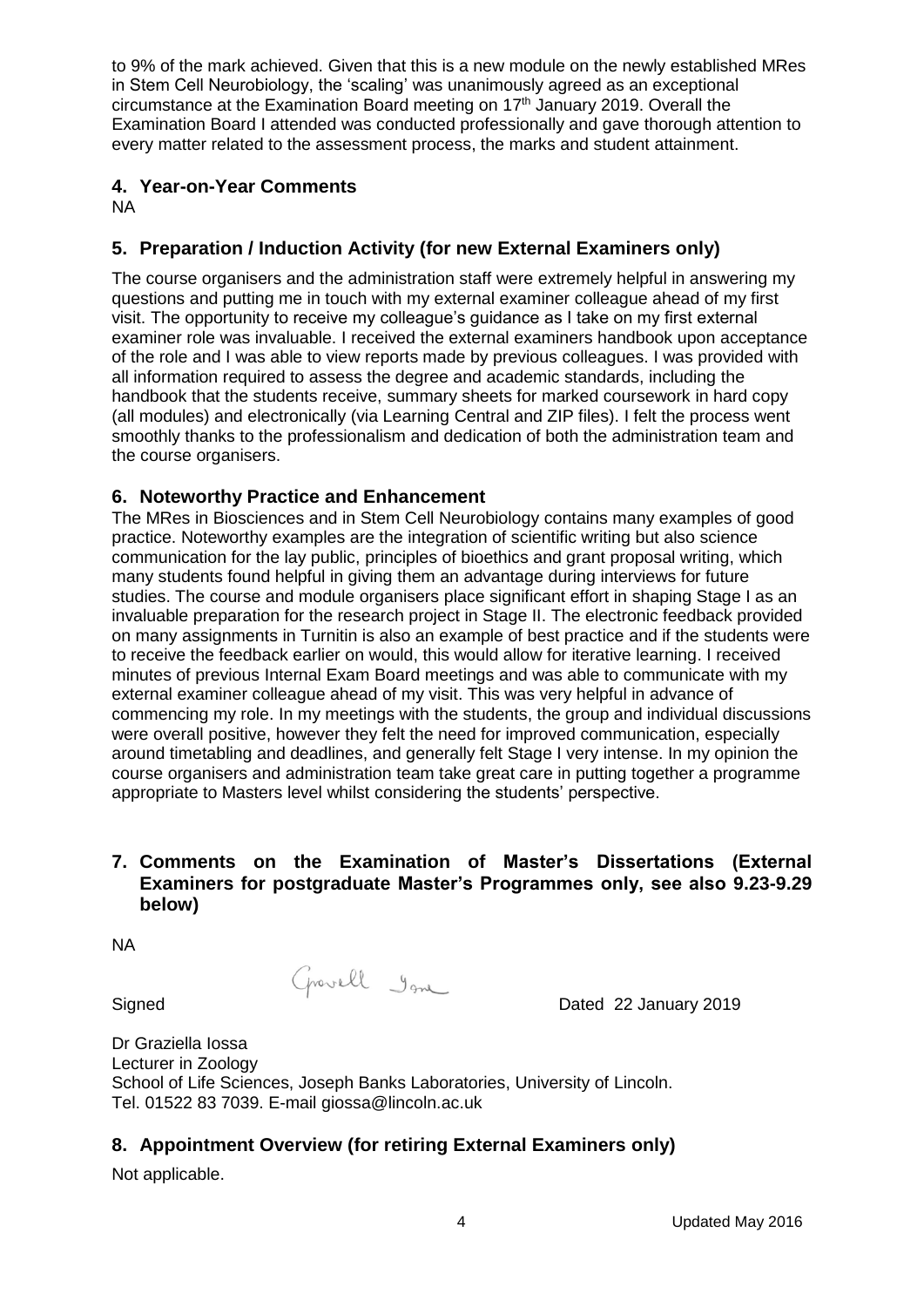to 9% of the mark achieved. Given that this is a new module on the newly established MRes in Stem Cell Neurobiology, the 'scaling' was unanimously agreed as an exceptional circumstance at the Examination Board meeting on 17<sup>th</sup> January 2019. Overall the Examination Board I attended was conducted professionally and gave thorough attention to every matter related to the assessment process, the marks and student attainment.

## **4. Year-on-Year Comments**

NA

# **5. Preparation / Induction Activity (for new External Examiners only)**

The course organisers and the administration staff were extremely helpful in answering my questions and putting me in touch with my external examiner colleague ahead of my first visit. The opportunity to receive my colleague's guidance as I take on my first external examiner role was invaluable. I received the external examiners handbook upon acceptance of the role and I was able to view reports made by previous colleagues. I was provided with all information required to assess the degree and academic standards, including the handbook that the students receive, summary sheets for marked coursework in hard copy (all modules) and electronically (via Learning Central and ZIP files). I felt the process went smoothly thanks to the professionalism and dedication of both the administration team and the course organisers.

#### **6. Noteworthy Practice and Enhancement**

The MRes in Biosciences and in Stem Cell Neurobiology contains many examples of good practice. Noteworthy examples are the integration of scientific writing but also science communication for the lay public, principles of bioethics and grant proposal writing, which many students found helpful in giving them an advantage during interviews for future studies. The course and module organisers place significant effort in shaping Stage I as an invaluable preparation for the research project in Stage II. The electronic feedback provided on many assignments in Turnitin is also an example of best practice and if the students were to receive the feedback earlier on would, this would allow for iterative learning. I received minutes of previous Internal Exam Board meetings and was able to communicate with my external examiner colleague ahead of my visit. This was very helpful in advance of commencing my role. In my meetings with the students, the group and individual discussions were overall positive, however they felt the need for improved communication, especially around timetabling and deadlines, and generally felt Stage I very intense. In my opinion the course organisers and administration team take great care in putting together a programme appropriate to Masters level whilst considering the students' perspective.

#### **7. Comments on the Examination of Master's Dissertations (External Examiners for postgraduate Master's Programmes only, see also 9.23-9.29 below)**

NA

Signed Dated 22 January 2019

Dr Graziella Iossa Lecturer in Zoology School of Life Sciences, Joseph Banks Laboratories, University of Lincoln. Tel. 01522 83 7039. E-mail giossa@lincoln.ac.uk

## **8. Appointment Overview (for retiring External Examiners only)**

Not applicable.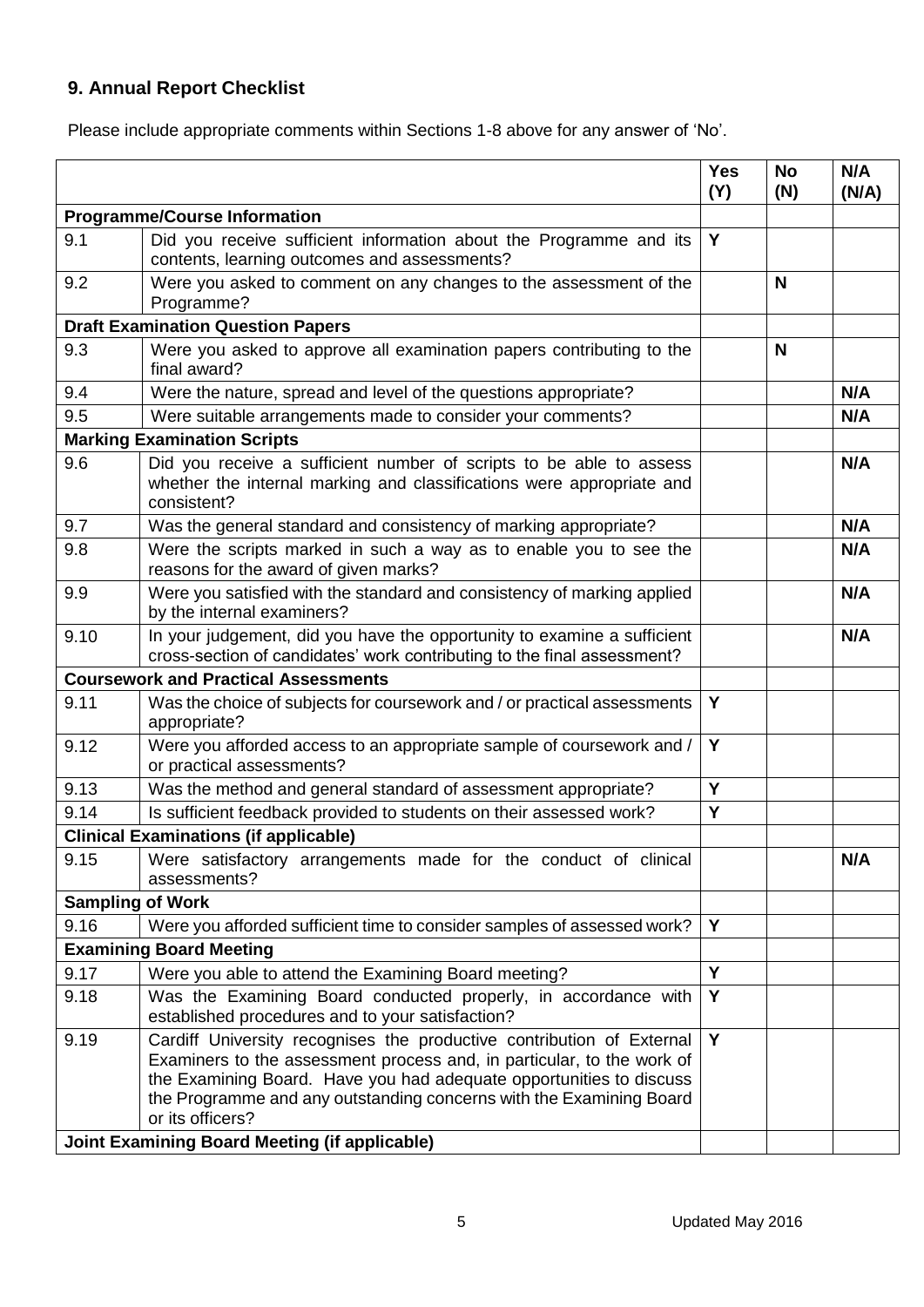# **9. Annual Report Checklist**

Please include appropriate comments within Sections 1-8 above for any answer of 'No'.

|                                                      |                                                                                                                                                                                                                                                                                                                   | <b>Yes</b><br>(Y) | <b>No</b><br>(N) | N/A<br>(N/A) |
|------------------------------------------------------|-------------------------------------------------------------------------------------------------------------------------------------------------------------------------------------------------------------------------------------------------------------------------------------------------------------------|-------------------|------------------|--------------|
| <b>Programme/Course Information</b>                  |                                                                                                                                                                                                                                                                                                                   |                   |                  |              |
| 9.1                                                  | Did you receive sufficient information about the Programme and its<br>contents, learning outcomes and assessments?                                                                                                                                                                                                | Y                 |                  |              |
| 9.2                                                  | Were you asked to comment on any changes to the assessment of the<br>Programme?                                                                                                                                                                                                                                   |                   | N                |              |
|                                                      | <b>Draft Examination Question Papers</b>                                                                                                                                                                                                                                                                          |                   |                  |              |
| 9.3                                                  | Were you asked to approve all examination papers contributing to the<br>final award?                                                                                                                                                                                                                              |                   | N                |              |
| 9.4                                                  | Were the nature, spread and level of the questions appropriate?                                                                                                                                                                                                                                                   |                   |                  | N/A          |
| 9.5                                                  | Were suitable arrangements made to consider your comments?                                                                                                                                                                                                                                                        |                   |                  | N/A          |
| <b>Marking Examination Scripts</b>                   |                                                                                                                                                                                                                                                                                                                   |                   |                  |              |
| 9.6                                                  | Did you receive a sufficient number of scripts to be able to assess<br>whether the internal marking and classifications were appropriate and<br>consistent?                                                                                                                                                       |                   |                  | N/A          |
| 9.7                                                  | Was the general standard and consistency of marking appropriate?                                                                                                                                                                                                                                                  |                   |                  | N/A          |
| 9.8                                                  | Were the scripts marked in such a way as to enable you to see the<br>reasons for the award of given marks?                                                                                                                                                                                                        |                   |                  | N/A          |
| 9.9                                                  | Were you satisfied with the standard and consistency of marking applied<br>by the internal examiners?                                                                                                                                                                                                             |                   |                  | N/A          |
| 9.10                                                 | In your judgement, did you have the opportunity to examine a sufficient<br>cross-section of candidates' work contributing to the final assessment?                                                                                                                                                                |                   |                  | N/A          |
| <b>Coursework and Practical Assessments</b>          |                                                                                                                                                                                                                                                                                                                   |                   |                  |              |
| 9.11                                                 | Was the choice of subjects for coursework and / or practical assessments<br>appropriate?                                                                                                                                                                                                                          | Y                 |                  |              |
| 9.12                                                 | Were you afforded access to an appropriate sample of coursework and /<br>or practical assessments?                                                                                                                                                                                                                | Y                 |                  |              |
| 9.13                                                 | Was the method and general standard of assessment appropriate?                                                                                                                                                                                                                                                    | Y                 |                  |              |
| 9.14                                                 | Is sufficient feedback provided to students on their assessed work?                                                                                                                                                                                                                                               | Y                 |                  |              |
|                                                      | <b>Clinical Examinations (if applicable)</b>                                                                                                                                                                                                                                                                      |                   |                  |              |
| 9.15                                                 | Were satisfactory arrangements made for the conduct of clinical<br>assessments?                                                                                                                                                                                                                                   |                   |                  | N/A          |
| <b>Sampling of Work</b>                              |                                                                                                                                                                                                                                                                                                                   |                   |                  |              |
| 9.16                                                 | Were you afforded sufficient time to consider samples of assessed work?                                                                                                                                                                                                                                           | Y                 |                  |              |
|                                                      | <b>Examining Board Meeting</b>                                                                                                                                                                                                                                                                                    |                   |                  |              |
| 9.17                                                 | Were you able to attend the Examining Board meeting?                                                                                                                                                                                                                                                              | Y                 |                  |              |
| 9.18                                                 | Was the Examining Board conducted properly, in accordance with<br>established procedures and to your satisfaction?                                                                                                                                                                                                | Y                 |                  |              |
| 9.19                                                 | Cardiff University recognises the productive contribution of External<br>Examiners to the assessment process and, in particular, to the work of<br>the Examining Board. Have you had adequate opportunities to discuss<br>the Programme and any outstanding concerns with the Examining Board<br>or its officers? | Y                 |                  |              |
| <b>Joint Examining Board Meeting (if applicable)</b> |                                                                                                                                                                                                                                                                                                                   |                   |                  |              |